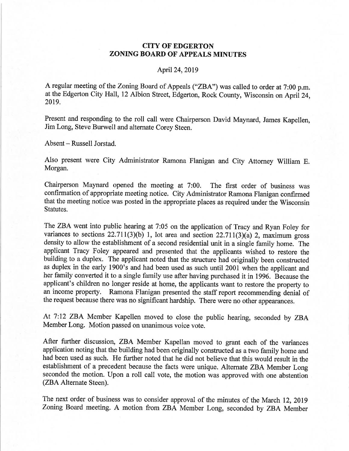## **CITY OF EDGERTON** ZONING BOARD OF APPEALS MINUTES

## April 24,2019

A regular meeting of the Zoning Board of Appeals ("ZBA") was called to order at 7:00 p.m. at the Edgerton City Hall, 12 Albion Street, Edgerton, Rock County, Wisconsin on April24, 20t9.

Present and responding to the roll call were Chairperson David Maynard, James Kapellen, Jim Long, Steve Burwell and alternate Corey Steen.

Absent – Russell Jorstad.

Also present were City Administrator Ramona Flanigan and City Attorney William E. Morgan.

Chairperson Maynard opened the meeting at 7:00. The first order of business was confirmation of appropriate meeting notice. City Administrator Ramona Flanigan confirmed that the meeting notice was posted in the appropriate places as required under the Wisconsin Statutes.

The ZBA went into public hearing at 7:05 on the application of Tracy and Ryan Foley for variances to sections  $22.711(3)(b)$  1, lot area and section  $22.711(3)(a)$  2, maximum gross density to allow the establishment of a second residential unit in a single family home. The applicant Tracy Foley appeared and presented that the applicants wished to restore the building to a duplex. The applicant noted that the structure had originally been constructed as duplex in the early 1900's and had been used as such until 2001 when the applicant and her family converted it to a single family use after having purchased it in 1996. Because the applicant's children no longer reside at home, the applicants want to restore the property to an income properly. Ramona Flanigan presented the staff report recommending denial of the request because there was no significant hardship. There were no other appearances.

At 7:12 ZBA Member Kapellen moved to close the public hearing, seconded by ZBA Member Long. Motion passed on unanimous voice vote.

After further discussion, ZBA Member Kapellan moved to grant each of the variances application noting that the building had been originally constructed as a two family home and had been used as such. He further noted that he did not believe that this would result in the establishment of a precedent because the facts were unique. Altemate ZBA Member Long seconded the motion. Upon a roll call vote, the motion was approved with one abstention (ZBA Alternate Steen).

The next order of business was to consider approval of the minutes of the March 12, 20lg Zoning Board meeting. A motion from ZBA Member Long, seconded by ZBA Member